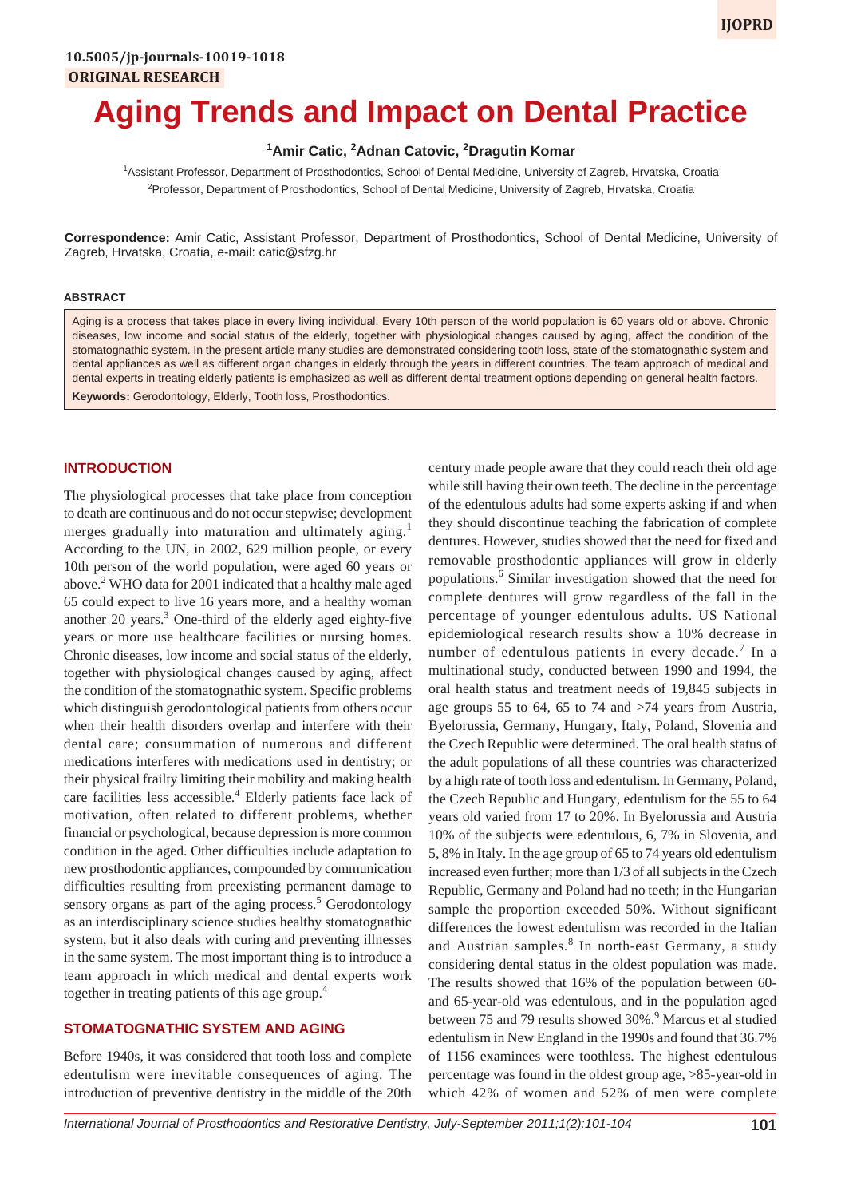# **Aging Trends and Impact on Dental Practice**

<sup>1</sup> Amir Catic, <sup>2</sup> Adnan Catovic, <sup>2</sup> Dragutin Komar

1 Assistant Professor, Department of Prosthodontics, School of Dental Medicine, University of Zagreb, Hrvatska, Croatia 2 Professor, Department of Prosthodontics, School of Dental Medicine, University of Zagreb, Hrvatska, Croatia

**Correspondence:** Amir Catic, Assistant Professor, Department of Prosthodontics, School of Dental Medicine, University of Zagreb, Hrvatska, Croatia, e-mail: catic@sfzg.hr

### **ABSTRACT**

Aging is a process that takes place in every living individual. Every 10th person of the world population is 60 years old or above. Chronic diseases, low income and social status of the elderly, together with physiological changes caused by aging, affect the condition of the stomatognathic system. In the present article many studies are demonstrated considering tooth loss, state of the stomatognathic system and dental appliances as well as different organ changes in elderly through the years in different countries. The team approach of medical and dental experts in treating elderly patients is emphasized as well as different dental treatment options depending on general health factors. **Keywords:** Gerodontology, Elderly, Tooth loss, Prosthodontics.

### **INTRODUCTION**

The physiological processes that take place from conception to death are continuous and do not occur stepwise; development merges gradually into maturation and ultimately aging.<sup>1</sup> According to the UN, in 2002, 629 million people, or every 10th person of the world population, were aged 60 years or above.<sup>2</sup> WHO data for 2001 indicated that a healthy male aged 65 could expect to live 16 years more, and a healthy woman another 20 years.<sup>3</sup> One-third of the elderly aged eighty-five years or more use healthcare facilities or nursing homes. Chronic diseases, low income and social status of the elderly, together with physiological changes caused by aging, affect the condition of the stomatognathic system. Specific problems which distinguish gerodontological patients from others occur when their health disorders overlap and interfere with their dental care; consummation of numerous and different medications interferes with medications used in dentistry; or their physical frailty limiting their mobility and making health care facilities less accessible.<sup>4</sup> Elderly patients face lack of motivation, often related to different problems, whether financial or psychological, because depression is more common condition in the aged. Other difficulties include adaptation to new prosthodontic appliances, compounded by communication difficulties resulting from preexisting permanent damage to sensory organs as part of the aging process.<sup>5</sup> Gerodontology as an interdisciplinary science studies healthy stomatognathic system, but it also deals with curing and preventing illnesses in the same system. The most important thing is to introduce a team approach in which medical and dental experts work together in treating patients of this age group.<sup>4</sup>

## **STOMATOGNATHIC SYSTEM AND AGING**

Before 1940s, it was considered that tooth loss and complete edentulism were inevitable consequences of aging. The introduction of preventive dentistry in the middle of the 20th century made people aware that they could reach their old age while still having their own teeth. The decline in the percentage of the edentulous adults had some experts asking if and when they should discontinue teaching the fabrication of complete dentures. However, studies showed that the need for fixed and removable prosthodontic appliances will grow in elderly populations.6 Similar investigation showed that the need for complete dentures will grow regardless of the fall in the percentage of younger edentulous adults. US National epidemiological research results show a 10% decrease in number of edentulous patients in every decade.<sup>7</sup> In a multinational study, conducted between 1990 and 1994, the oral health status and treatment needs of 19,845 subjects in age groups 55 to 64, 65 to 74 and >74 years from Austria, Byelorussia, Germany, Hungary, Italy, Poland, Slovenia and the Czech Republic were determined. The oral health status of the adult populations of all these countries was characterized by a high rate of tooth loss and edentulism. In Germany, Poland, the Czech Republic and Hungary, edentulism for the 55 to 64 years old varied from 17 to 20%. In Byelorussia and Austria 10% of the subjects were edentulous, 6, 7% in Slovenia, and 5, 8% in Italy. In the age group of 65 to 74 years old edentulism increased even further; more than 1/3 of all subjects in the Czech Republic, Germany and Poland had no teeth; in the Hungarian sample the proportion exceeded 50%. Without significant differences the lowest edentulism was recorded in the Italian and Austrian samples.<sup>8</sup> In north-east Germany, a study considering dental status in the oldest population was made. The results showed that 16% of the population between 60 and 65-year-old was edentulous, and in the population aged between 75 and 79 results showed 30%.<sup>9</sup> Marcus et al studied edentulism in New England in the 1990s and found that 36.7% of 1156 examinees were toothless. The highest edentulous percentage was found in the oldest group age, >85-year-old in which 42% of women and 52% of men were complete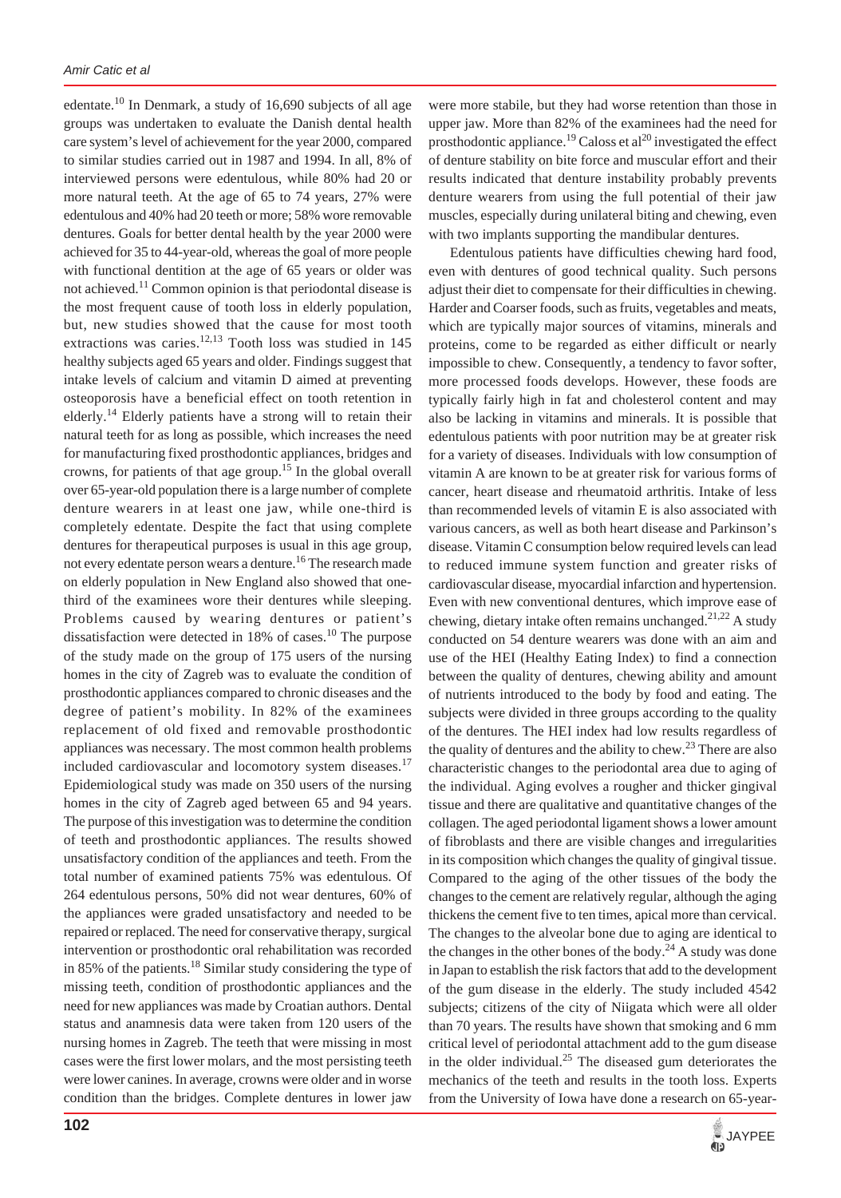edentate.<sup>10</sup> In Denmark, a study of 16,690 subjects of all age groups was undertaken to evaluate the Danish dental health care system's level of achievement for the year 2000, compared to similar studies carried out in 1987 and 1994. In all, 8% of interviewed persons were edentulous, while 80% had 20 or more natural teeth. At the age of 65 to 74 years, 27% were edentulous and 40% had 20 teeth or more; 58% wore removable dentures. Goals for better dental health by the year 2000 were achieved for 35 to 44-year-old, whereas the goal of more people with functional dentition at the age of 65 years or older was not achieved.11 Common opinion is that periodontal disease is the most frequent cause of tooth loss in elderly population, but, new studies showed that the cause for most tooth extractions was caries.<sup>12,13</sup> Tooth loss was studied in 145 healthy subjects aged 65 years and older. Findings suggest that intake levels of calcium and vitamin D aimed at preventing osteoporosis have a beneficial effect on tooth retention in elderly.14 Elderly patients have a strong will to retain their natural teeth for as long as possible, which increases the need for manufacturing fixed prosthodontic appliances, bridges and crowns, for patients of that age group.15 In the global overall over 65-year-old population there is a large number of complete denture wearers in at least one jaw, while one-third is completely edentate. Despite the fact that using complete dentures for therapeutical purposes is usual in this age group, not every edentate person wears a denture.<sup>16</sup> The research made on elderly population in New England also showed that onethird of the examinees wore their dentures while sleeping. Problems caused by wearing dentures or patient's dissatisfaction were detected in 18% of cases.<sup>10</sup> The purpose of the study made on the group of 175 users of the nursing homes in the city of Zagreb was to evaluate the condition of prosthodontic appliances compared to chronic diseases and the degree of patient's mobility. In 82% of the examinees replacement of old fixed and removable prosthodontic appliances was necessary. The most common health problems included cardiovascular and locomotory system diseases.<sup>17</sup> Epidemiological study was made on 350 users of the nursing homes in the city of Zagreb aged between 65 and 94 years. The purpose of this investigation was to determine the condition of teeth and prosthodontic appliances. The results showed unsatisfactory condition of the appliances and teeth. From the total number of examined patients 75% was edentulous. Of 264 edentulous persons, 50% did not wear dentures, 60% of the appliances were graded unsatisfactory and needed to be repaired or replaced. The need for conservative therapy, surgical intervention or prosthodontic oral rehabilitation was recorded in 85% of the patients.<sup>18</sup> Similar study considering the type of missing teeth, condition of prosthodontic appliances and the need for new appliances was made by Croatian authors. Dental status and anamnesis data were taken from 120 users of the nursing homes in Zagreb. The teeth that were missing in most cases were the first lower molars, and the most persisting teeth were lower canines. In average, crowns were older and in worse condition than the bridges. Complete dentures in lower jaw

were more stabile, but they had worse retention than those in upper jaw. More than 82% of the examinees had the need for prosthodontic appliance.<sup>19</sup> Caloss et al<sup>20</sup> investigated the effect of denture stability on bite force and muscular effort and their results indicated that denture instability probably prevents denture wearers from using the full potential of their jaw muscles, especially during unilateral biting and chewing, even with two implants supporting the mandibular dentures.

Edentulous patients have difficulties chewing hard food, even with dentures of good technical quality. Such persons adjust their diet to compensate for their difficulties in chewing. Harder and Coarser foods, such as fruits, vegetables and meats, which are typically major sources of vitamins, minerals and proteins, come to be regarded as either difficult or nearly impossible to chew. Consequently, a tendency to favor softer, more processed foods develops. However, these foods are typically fairly high in fat and cholesterol content and may also be lacking in vitamins and minerals. It is possible that edentulous patients with poor nutrition may be at greater risk for a variety of diseases. Individuals with low consumption of vitamin A are known to be at greater risk for various forms of cancer, heart disease and rheumatoid arthritis. Intake of less than recommended levels of vitamin E is also associated with various cancers, as well as both heart disease and Parkinson's disease. Vitamin C consumption below required levels can lead to reduced immune system function and greater risks of cardiovascular disease, myocardial infarction and hypertension. Even with new conventional dentures, which improve ease of chewing, dietary intake often remains unchanged.<sup>21,22</sup> A study conducted on 54 denture wearers was done with an aim and use of the HEI (Healthy Eating Index) to find a connection between the quality of dentures, chewing ability and amount of nutrients introduced to the body by food and eating. The subjects were divided in three groups according to the quality of the dentures. The HEI index had low results regardless of the quality of dentures and the ability to chew.<sup>23</sup> There are also characteristic changes to the periodontal area due to aging of the individual. Aging evolves a rougher and thicker gingival tissue and there are qualitative and quantitative changes of the collagen. The aged periodontal ligament shows a lower amount of fibroblasts and there are visible changes and irregularities in its composition which changes the quality of gingival tissue. Compared to the aging of the other tissues of the body the changes to the cement are relatively regular, although the aging thickens the cement five to ten times, apical more than cervical. The changes to the alveolar bone due to aging are identical to the changes in the other bones of the body. $^{24}$  A study was done in Japan to establish the risk factors that add to the development of the gum disease in the elderly. The study included 4542 subjects; citizens of the city of Niigata which were all older than 70 years. The results have shown that smoking and 6 mm critical level of periodontal attachment add to the gum disease in the older individual.<sup>25</sup> The diseased gum deteriorates the mechanics of the teeth and results in the tooth loss. Experts from the University of Iowa have done a research on 65-year-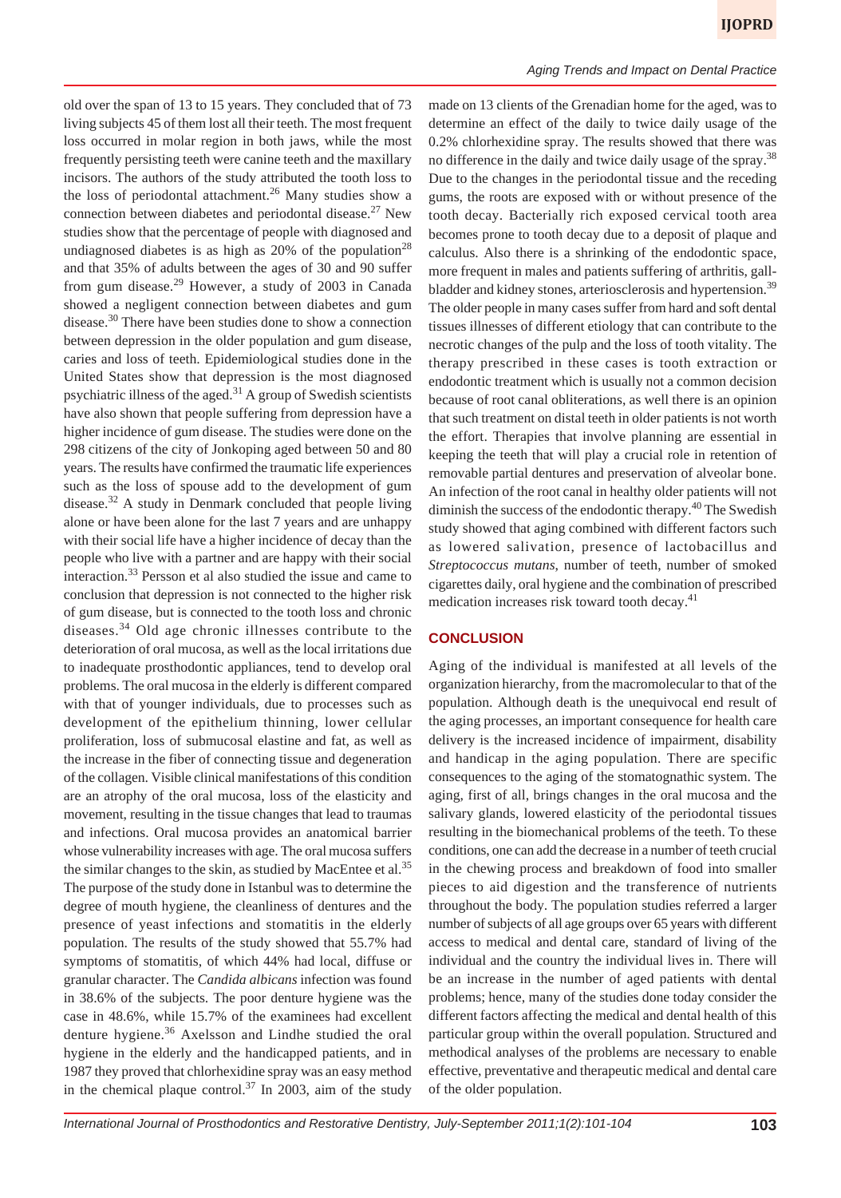old over the span of 13 to 15 years. They concluded that of 73 living subjects 45 of them lost all their teeth. The most frequent loss occurred in molar region in both jaws, while the most frequently persisting teeth were canine teeth and the maxillary incisors. The authors of the study attributed the tooth loss to the loss of periodontal attachment.<sup>26</sup> Many studies show a connection between diabetes and periodontal disease.<sup>27</sup> New studies show that the percentage of people with diagnosed and undiagnosed diabetes is as high as  $20\%$  of the population<sup>28</sup> and that 35% of adults between the ages of 30 and 90 suffer from gum disease.<sup>29</sup> However, a study of 2003 in Canada showed a negligent connection between diabetes and gum disease.<sup>30</sup> There have been studies done to show a connection between depression in the older population and gum disease, caries and loss of teeth. Epidemiological studies done in the United States show that depression is the most diagnosed psychiatric illness of the aged.<sup>31</sup> A group of Swedish scientists have also shown that people suffering from depression have a higher incidence of gum disease. The studies were done on the 298 citizens of the city of Jonkoping aged between 50 and 80 years. The results have confirmed the traumatic life experiences such as the loss of spouse add to the development of gum disease. $32$  A study in Denmark concluded that people living alone or have been alone for the last 7 years and are unhappy with their social life have a higher incidence of decay than the people who live with a partner and are happy with their social interaction.33 Persson et al also studied the issue and came to conclusion that depression is not connected to the higher risk of gum disease, but is connected to the tooth loss and chronic diseases.34 Old age chronic illnesses contribute to the deterioration of oral mucosa, as well as the local irritations due to inadequate prosthodontic appliances, tend to develop oral problems. The oral mucosa in the elderly is different compared with that of younger individuals, due to processes such as development of the epithelium thinning, lower cellular proliferation, loss of submucosal elastine and fat, as well as the increase in the fiber of connecting tissue and degeneration of the collagen. Visible clinical manifestations of this condition are an atrophy of the oral mucosa, loss of the elasticity and movement, resulting in the tissue changes that lead to traumas and infections. Oral mucosa provides an anatomical barrier whose vulnerability increases with age. The oral mucosa suffers the similar changes to the skin, as studied by MacEntee et al.<sup>35</sup> The purpose of the study done in Istanbul was to determine the degree of mouth hygiene, the cleanliness of dentures and the presence of yeast infections and stomatitis in the elderly population. The results of the study showed that 55.7% had symptoms of stomatitis, of which 44% had local, diffuse or granular character. The *Candida albicans* infection was found in 38.6% of the subjects. The poor denture hygiene was the case in 48.6%, while 15.7% of the examinees had excellent denture hygiene.<sup>36</sup> Axelsson and Lindhe studied the oral hygiene in the elderly and the handicapped patients, and in 1987 they proved that chlorhexidine spray was an easy method in the chemical plaque control.<sup>37</sup> In 2003, aim of the study

made on 13 clients of the Grenadian home for the aged, was to determine an effect of the daily to twice daily usage of the 0.2% chlorhexidine spray. The results showed that there was no difference in the daily and twice daily usage of the spray.<sup>38</sup> Due to the changes in the periodontal tissue and the receding gums, the roots are exposed with or without presence of the tooth decay. Bacterially rich exposed cervical tooth area becomes prone to tooth decay due to a deposit of plaque and calculus. Also there is a shrinking of the endodontic space, more frequent in males and patients suffering of arthritis, gallbladder and kidney stones, arteriosclerosis and hypertension.<sup>39</sup> The older people in many cases suffer from hard and soft dental tissues illnesses of different etiology that can contribute to the necrotic changes of the pulp and the loss of tooth vitality. The therapy prescribed in these cases is tooth extraction or endodontic treatment which is usually not a common decision because of root canal obliterations, as well there is an opinion that such treatment on distal teeth in older patients is not worth the effort. Therapies that involve planning are essential in keeping the teeth that will play a crucial role in retention of removable partial dentures and preservation of alveolar bone. An infection of the root canal in healthy older patients will not diminish the success of the endodontic therapy.<sup>40</sup> The Swedish study showed that aging combined with different factors such as lowered salivation, presence of lactobacillus and *Streptococcus mutans*, number of teeth, number of smoked cigarettes daily, oral hygiene and the combination of prescribed medication increases risk toward tooth decay.<sup>41</sup>

*Aging Trends and Impact on Dental Practice*

# **CONCLUSION**

Aging of the individual is manifested at all levels of the organization hierarchy, from the macromolecular to that of the population. Although death is the unequivocal end result of the aging processes, an important consequence for health care delivery is the increased incidence of impairment, disability and handicap in the aging population. There are specific consequences to the aging of the stomatognathic system. The aging, first of all, brings changes in the oral mucosa and the salivary glands, lowered elasticity of the periodontal tissues resulting in the biomechanical problems of the teeth. To these conditions, one can add the decrease in a number of teeth crucial in the chewing process and breakdown of food into smaller pieces to aid digestion and the transference of nutrients throughout the body. The population studies referred a larger number of subjects of all age groups over 65 years with different access to medical and dental care, standard of living of the individual and the country the individual lives in. There will be an increase in the number of aged patients with dental problems; hence, many of the studies done today consider the different factors affecting the medical and dental health of this particular group within the overall population. Structured and methodical analyses of the problems are necessary to enable effective, preventative and therapeutic medical and dental care of the older population.